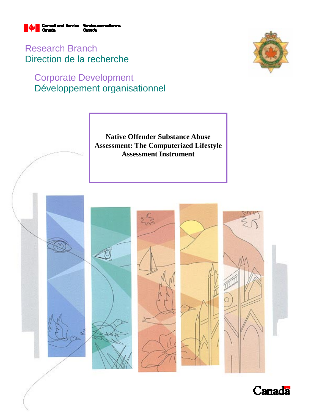

Research Branch Direction de la recherche

# Corporate Development Développement organisationnel



**Native Offender Substance Abuse Assessment: The Computerized Lifestyle Assessment Instrument** 



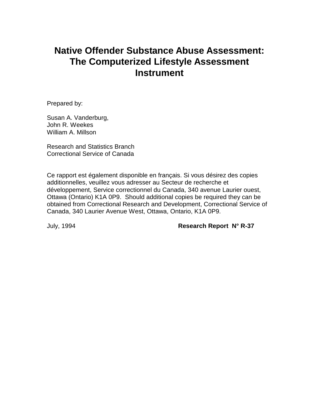# **Native Offender Substance Abuse Assessment: The Computerized Lifestyle Assessment Instrument**

Prepared by:

Susan A. Vanderburg, John R. Weekes William A. Millson

Research and Statistics Branch Correctional Service of Canada

Ce rapport est également disponible en français. Si vous désirez des copies additionnelles, veuillez vous adresser au Secteur de recherche et développement, Service correctionnel du Canada, 340 avenue Laurier ouest, Ottawa (Ontario) K1A 0P9. Should additional copies be required they can be obtained from Correctional Research and Development, Correctional Service of Canada, 340 Laurier Avenue West, Ottawa, Ontario, K1A 0P9.

July, 1994 **Research Report N° R-37**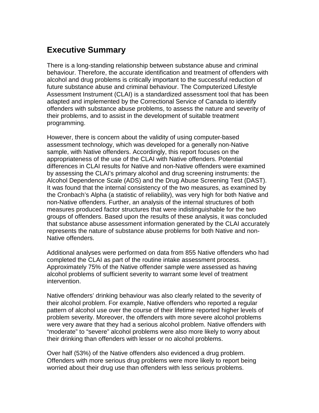## **Executive Summary**

There is a long-standing relationship between substance abuse and criminal behaviour. Therefore, the accurate identification and treatment of offenders with alcohol and drug problems is critically important to the successful reduction of future substance abuse and criminal behaviour. The Computerized Lifestyle Assessment Instrument (CLAI) is a standardized assessment tool that has been adapted and implemented by the Correctional Service of Canada to identify offenders with substance abuse problems, to assess the nature and severity of their problems, and to assist in the development of suitable treatment programming.

However, there is concern about the validity of using computer-based assessment technology, which was developed for a generally non-Native sample, with Native offenders. Accordingly, this report focuses on the appropriateness of the use of the CLAI with Native offenders. Potential differences in CLAI results for Native and non-Native offenders were examined by assessing the CLAI's primary alcohol and drug screening instruments: the Alcohol Dependence Scale (ADS) and the Drug Abuse Screening Test (DAST). It was found that the internal consistency of the two measures, as examined by the Cronbach's Alpha (a statistic of reliability), was very high for both Native and non-Native offenders. Further, an analysis of the internal structures of both measures produced factor structures that were indistinguishable for the two groups of offenders. Based upon the results of these analysis, it was concluded that substance abuse assessment information generated by the CLAI accurately represents the nature of substance abuse problems for both Native and non-Native offenders.

Additional analyses were performed on data from 855 Native offenders who had completed the CLAI as part of the routine intake assessment process. Approximately 75% of the Native offender sample were assessed as having alcohol problems of sufficient severity to warrant some level of treatment intervention.

Native offenders' drinking behaviour was also clearly related to the severity of their alcohol problem. For example, Native offenders who reported a regular pattern of alcohol use over the course of their lifetime reported higher levels of problem severity. Moreover, the offenders with more severe alcohol problems were very aware that they had a serious alcohol problem. Native offenders with "moderate" to "severe" alcohol problems were also more likely to worry about their drinking than offenders with lesser or no alcohol problems.

Over half (53%) of the Native offenders also evidenced a drug problem. Offenders with more serious drug problems were more likely to report being worried about their drug use than offenders with less serious problems.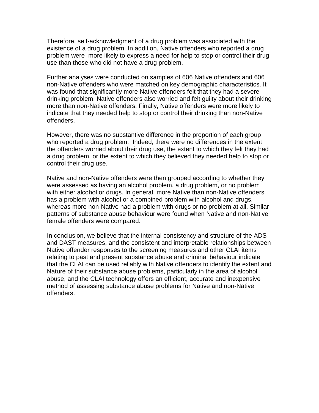Therefore, self-acknowledgment of a drug problem was associated with the existence of a drug problem. In addition, Native offenders who reported a drug problem were more likely to express a need for help to stop or control their drug use than those who did not have a drug problem.

Further analyses were conducted on samples of 606 Native offenders and 606 non-Native offenders who were matched on key demographic characteristics. It was found that significantly more Native offenders felt that they had a severe drinking problem. Native offenders also worried and felt guilty about their drinking more than non-Native offenders. Finally, Native offenders were more likely to indicate that they needed help to stop or control their drinking than non-Native offenders.

However, there was no substantive difference in the proportion of each group who reported a drug problem. Indeed, there were no differences in the extent the offenders worried about their drug use, the extent to which they felt they had a drug problem, or the extent to which they believed they needed help to stop or control their drug use.

Native and non-Native offenders were then grouped according to whether they were assessed as having an alcohol problem, a drug problem, or no problem with either alcohol or drugs. In general, more Native than non-Native offenders has a problem with alcohol or a combined problem with alcohol and drugs, whereas more non-Native had a problem with drugs or no problem at all. Similar patterns of substance abuse behaviour were found when Native and non-Native female offenders were compared.

In conclusion, we believe that the internal consistency and structure of the ADS and DAST measures, and the consistent and interpretable relationships between Native offender responses to the screening measures and other CLAI items relating to past and present substance abuse and criminal behaviour indicate that the CLAI can be used reliably with Native offenders to identify the extent and Nature of their substance abuse problems, particularly in the area of alcohol abuse, and the CLAI technology offers an efficient, accurate and inexpensive method of assessing substance abuse problems for Native and non-Native offenders.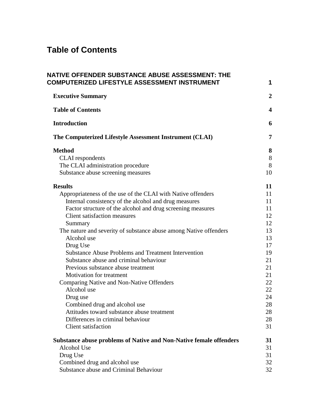# **Table of Contents**

| NATIVE OFFENDER SUBSTANCE ABUSE ASSESSMENT: THE<br>COMPUTERIZED LIFESTYLE ASSESSMENT INSTRUMENT | 1                       |
|-------------------------------------------------------------------------------------------------|-------------------------|
| <b>Executive Summary</b>                                                                        | $\overline{2}$          |
| <b>Table of Contents</b>                                                                        | $\overline{\mathbf{4}}$ |
| <b>Introduction</b>                                                                             | 6                       |
| The Computerized Lifestyle Assessment Instrument (CLAI)                                         | 7                       |
| <b>Method</b>                                                                                   | 8                       |
| <b>CLAI</b> respondents                                                                         | 8                       |
| The CLAI administration procedure                                                               | 8                       |
| Substance abuse screening measures                                                              | 10                      |
| <b>Results</b>                                                                                  | 11                      |
| Appropriateness of the use of the CLAI with Native offenders                                    | 11                      |
| Internal consistency of the alcohol and drug measures                                           | 11                      |
| Factor structure of the alcohol and drug screening measures                                     | 11                      |
| <b>Client satisfaction measures</b>                                                             | 12                      |
| Summary                                                                                         | 12                      |
| The nature and severity of substance abuse among Native offenders                               | 13                      |
| Alcohol use                                                                                     | 13                      |
| Drug Use                                                                                        | 17                      |
| <b>Substance Abuse Problems and Treatment Intervention</b>                                      | 19                      |
| Substance abuse and criminal behaviour                                                          | 21                      |
| Previous substance abuse treatment                                                              | 21                      |
| <b>Motivation for treatment</b>                                                                 | 21                      |
| Comparing Native and Non-Native Offenders                                                       | 22                      |
| Alcohol use                                                                                     | 22                      |
| Drug use                                                                                        | 24                      |
| Combined drug and alcohol use                                                                   | 28                      |
| Attitudes toward substance abuse treatment                                                      | 28                      |
| Differences in criminal behaviour                                                               | 28                      |
| <b>Client satisfaction</b>                                                                      | 31                      |
| <b>Substance abuse problems of Native and Non-Native female offenders</b>                       | 31                      |
| Alcohol Use                                                                                     | 31                      |
| Drug Use                                                                                        | 31                      |
| Combined drug and alcohol use                                                                   | 32                      |
| Substance abuse and Criminal Behaviour                                                          | 32                      |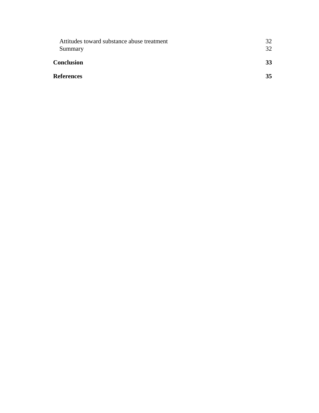| Attitudes toward substance abuse treatment | 32 |
|--------------------------------------------|----|
| Summary                                    | 32 |
| <b>Conclusion</b>                          | 33 |
| <b>References</b>                          | 35 |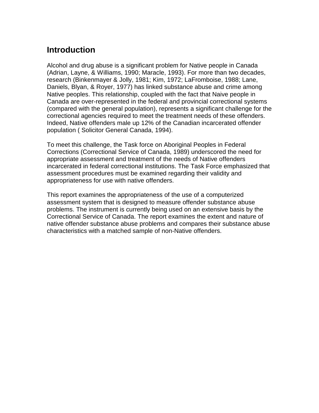## **Introduction**

Alcohol and drug abuse is a significant problem for Native people in Canada (Adrian, Layne, & Williams, 1990; Maracle, 1993). For more than two decades, research (Binkenmayer & Jolly, 1981; Kim, 1972; LaFromboise, 1988; Lane, Daniels, Blyan, & Royer, 1977) has linked substance abuse and crime among Native peoples. This relationship, coupled with the fact that Naive people in Canada are over-represented in the federal and provincial correctional systems (compared with the general population), represents a significant challenge for the correctional agencies required to meet the treatment needs of these offenders. Indeed, Native offenders male up 12% of the Canadian incarcerated offender population ( Solicitor General Canada, 1994).

To meet this challenge, the Task force on Aboriginal Peoples in Federal Corrections (Correctional Service of Canada, 1989) underscored the need for appropriate assessment and treatment of the needs of Native offenders incarcerated in federal correctional institutions. The Task Force emphasized that assessment procedures must be examined regarding their validity and appropriateness for use with native offenders.

This report examines the appropriateness of the use of a computerized assessment system that is designed to measure offender substance abuse problems. The instrument is currently being used on an extensive basis by the Correctional Service of Canada. The report examines the extent and nature of native offender substance abuse problems and compares their substance abuse characteristics with a matched sample of non-Native offenders.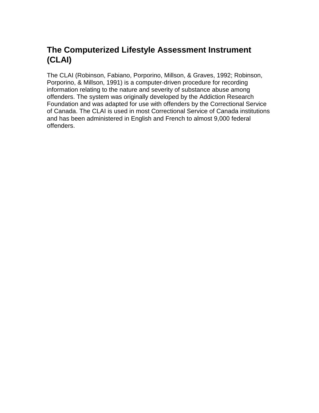## **The Computerized Lifestyle Assessment Instrument (CLAI)**

The CLAI (Robinson, Fabiano, Porporino, Millson, & Graves, 1992; Robinson, Porporino, & Millson, 1991) is a computer-driven procedure for recording information relating to the nature and severity of substance abuse among offenders. The system was originally developed by the Addiction Research Foundation and was adapted for use with offenders by the Correctional Service of Canada. The CLAI is used in most Correctional Service of Canada institutions and has been administered in English and French to almost 9,000 federal offenders.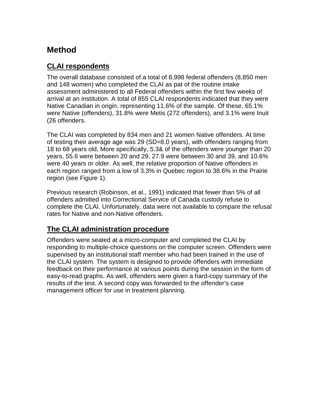## **Method**

### **CLAI respondents**

The overall database consisted of a total of 8,998 federal offenders (8,850 men and 148 women) who completed the CLAI as pat of the routine intake assessment administered to all Federal offenders within the first few weeks of arrival at an institution. A total of 855 CLAI respondents indicated that they were Native Canadian in origin, representing 11.6% of the sample. Of these, 65.1% were Native (offenders), 31.8% were Metis (272 offenders), and 3.1% were Inuit (26 offenders.

The CLAI was completed by 834 men and 21 women Native offenders. At time of testing their average age was 29 (SD=8.0 years), with offenders ranging from 18 to 68 years old, More specifically, 5.3& of the offenders were younger than 20 years, 55.6 were between 20 and 29, 27.9 were between 30 and 39, and 10.6% were 40 years or older. As well, the relative proportion of Native offenders in each region ranged from a low of 3.3% in Quebec region to 38.6% in the Prairie region (see Figure 1).

Previous research (Robinson, et al., 1991) indicated that fewer than 5% of all offenders admitted into Correctional Service of Canada custody refuse to complete the CLAI. Unfortunately, data were not available to compare the refusal rates for Native and non-Native offenders.

### **The CLAI administration procedure**

Offenders were seated at a micro-computer and completed the CLAI by responding to multiple-choice questions on the computer screen. Offenders were supervised by an institutional staff member who had been trained in the use of the CLAI system. The system is designed to provide offenders with immediate feedback on their performance at various points during the session in the form of easy-to-read graphs. As well, offenders were given a hard-copy summary of the results of the test. A second copy was forwarded to the offender's case management officer for use in treatment planning.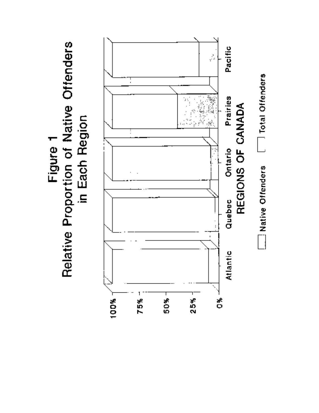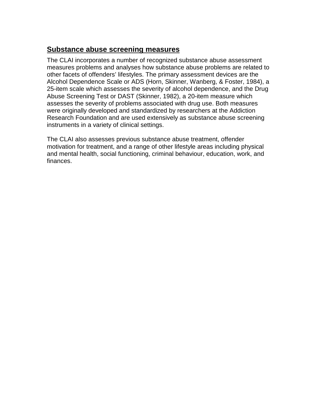### **Substance abuse screening measures**

The CLAI incorporates a number of recognized substance abuse assessment measures problems and analyses how substance abuse problems are related to other facets of offenders' lifestyles. The primary assessment devices are the Alcohol Dependence Scale or ADS (Horn, Skinner, Wanberg, & Foster, 1984), a 25-item scale which assesses the severity of alcohol dependence, and the Drug Abuse Screening Test or DAST (Skinner, 1982), a 20-item measure which assesses the severity of problems associated with drug use. Both measures were originally developed and standardized by researchers at the Addiction Research Foundation and are used extensively as substance abuse screening instruments in a variety of clinical settings.

The CLAI also assesses previous substance abuse treatment, offender motivation for treatment, and a range of other lifestyle areas including physical and mental health, social functioning, criminal behaviour, education, work, and finances.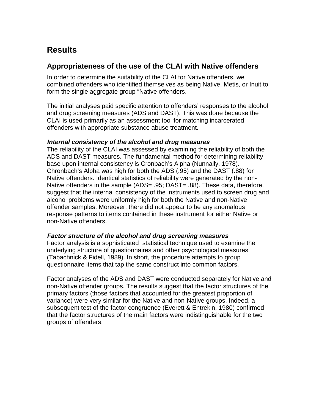## **Results**

### **Appropriateness of the use of the CLAI with Native offenders**

In order to determine the suitability of the CLAI for Native offenders, we combined offenders who identified themselves as being Native, Metis, or Inuit to form the single aggregate group "Native offenders.

The initial analyses paid specific attention to offenders' responses to the alcohol and drug screening measures (ADS and DAST). This was done because the CLAI is used primarily as an assessment tool for matching incarcerated offenders with appropriate substance abuse treatment.

#### **Internal consistency of the alcohol and drug measures**

The reliability of the CLAI was assessed by examining the reliability of both the ADS and DAST measures. The fundamental method for determining reliability base upon internal consistency is Cronbach's Alpha (Nunnally, 1978). Chronbach's Alpha was high for both the ADS (.95) and the DAST (.88) for Native offenders. Identical statistics of reliability were generated by the non-Native offenders in the sample (ADS= .95; DAST= .88). These data, therefore, suggest that the internal consistency of the instruments used to screen drug and alcohol problems were uniformly high for both the Native and non-Native offender samples. Moreover, there did not appear to be any anomalous response patterns to items contained in these instrument for either Native or non-Native offenders.

#### **Factor structure of the alcohol and drug screening measures**

Factor analysis is a sophisticated statistical technique used to examine the underlying structure of questionnaires and other psychological measures (Tabachnick & Fidell, 1989). In short, the procedure attempts to group questionnaire items that tap the same construct into common factors.

Factor analyses of the ADS and DAST were conducted separately for Native and non-Native offender groups. The results suggest that the factor structures of the primary factors (those factors that accounted for the greatest proportion of variance) were very similar for the Native and non-Native groups. Indeed, a subsequent test of the factor congruence (Everett & Entrekin, 1980) confirmed that the factor structures of the main factors were indistinguishable for the two groups of offenders.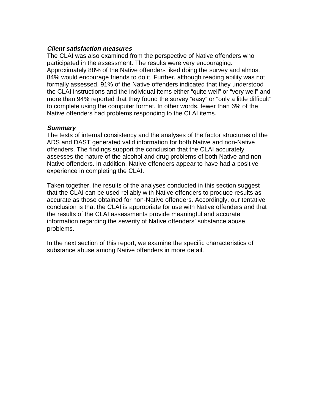#### **Client satisfaction measures**

The CLAI was also examined from the perspective of Native offenders who participated in the assessment. The results were very encouraging. Approximately 88% of the Native offenders liked doing the survey and almost 84% would encourage friends to do it. Further, although reading ability was not formally assessed, 91% of the Native offenders indicated that they understood the CLAI instructions and the individual items either "quite well" or "very well" and more than 94% reported that they found the survey "easy" or "only a little difficult" to complete using the computer format. In other words, fewer than 6% of the Native offenders had problems responding to the CLAI items.

#### **Summary**

The tests of internal consistency and the analyses of the factor structures of the ADS and DAST generated valid information for both Native and non-Native offenders. The findings support the conclusion that the CLAI accurately assesses the nature of the alcohol and drug problems of both Native and non-Native offenders. In addition, Native offenders appear to have had a positive experience in completing the CLAI.

Taken together, the results of the analyses conducted in this section suggest that the CLAI can be used reliably with Native offenders to produce results as accurate as those obtained for non-Native offenders. Accordingly, our tentative conclusion is that the CLAI is appropriate for use with Native offenders and that the results of the CLAI assessments provide meaningful and accurate information regarding the severity of Native offenders' substance abuse problems.

In the next section of this report, we examine the specific characteristics of substance abuse among Native offenders in more detail.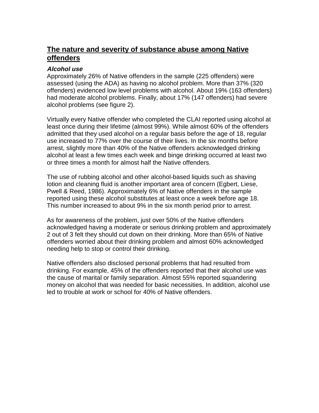### **The nature and severity of substance abuse among Native offenders**

#### **Alcohol use**

Approximately 26% of Native offenders in the sample (225 offenders) were assessed (using the ADA) as having no alcohol problem. More than 37% (320 offenders) evidenced low level problems with alcohol. About 19% (163 offenders) had moderate alcohol problems. Finally, about 17% (147 offenders) had severe alcohol problems (see figure 2).

Virtually every Native offender who completed the CLAI reported using alcohol at least once during their lifetime (almost 99%). While almost 60% of the offenders admitted that they used alcohol on a regular basis before the age of 18, regular use increased to 77% over the course of their lives. In the six months before arrest, slightly more than 40% of the Native offenders acknowledged drinking alcohol at least a few times each week and binge drinking occurred at least two or three times a month for almost half the Native offenders.

The use of rubbing alcohol and other alcohol-based liquids such as shaving lotion and cleaning fluid is another important area of concern (Egbert, Liese, Pwell & Reed, 1986). Approximately 6% of Native offenders in the sample reported using these alcohol substitutes at least once a week before age 18. This number increased to about 9% in the six month period prior to arrest.

As for awareness of the problem, just over 50% of the Native offenders acknowledged having a moderate or serious drinking problem and approximately 2 out of 3 felt they should cut down on their drinking. More than 65% of Native offenders worried about their drinking problem and almost 60% acknowledged needing help to stop or control their drinking.

Native offenders also disclosed personal problems that had resulted from drinking. For example, 45% of the offenders reported that their alcohol use was the cause of marital or family separation. Almost 55% reported squandering money on alcohol that was needed for basic necessities. In addition, alcohol use led to trouble at work or school for 40% of Native offenders.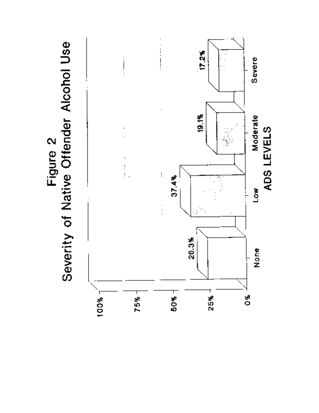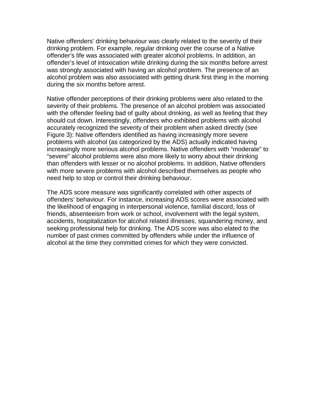Native offenders' drinking behaviour was clearly related to the severity of their drinking problem. For example, regular drinking over the course of a Native offender's life was associated with greater alcohol problems. In addition, an offender's level of intoxication while drinking during the six months before arrest was strongly associated with having an alcohol problem. The presence of an alcohol problem was also associated with getting drunk first thing in the morning during the six months before arrest.

Native offender perceptions of their drinking problems were also related to the severity of their problems. The presence of an alcohol problem was associated with the offender feeling bad of guilty about drinking, as well as feeling that they should cut down. Interestingly, offenders who exhibited problems with alcohol accurately recognized the severity of their problem when asked directly (see Figure 3): Native offenders identified as having increasingly more severe problems with alcohol (as categorized by the ADS) actually indicated having increasingly more serious alcohol problems. Native offenders with "moderate" to "severe" alcohol problems were also more likely to worry about their drinking than offenders with lesser or no alcohol problems. In addition, Native offenders with more severe problems with alcohol described themselves as people who need help to stop or control their drinking behaviour.

The ADS score measure was significantly correlated with other aspects of offenders' behaviour. For instance, increasing ADS scores were associated with the likelihood of engaging in interpersonal violence, familial discord, loss of friends, absenteeism from work or school, involvement with the legal system, accidents, hospitalization for alcohol related illnesses, squandering money, and seeking professional help for drinking. The ADS score was also elated to the number of past crimes committed by offenders while under the influence of alcohol at the time they committed crimes for which they were convicted.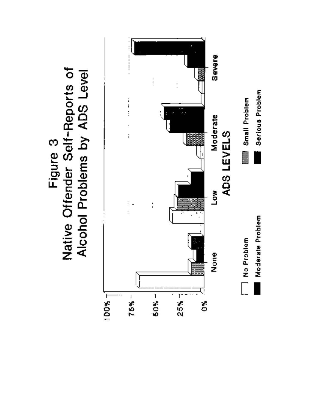

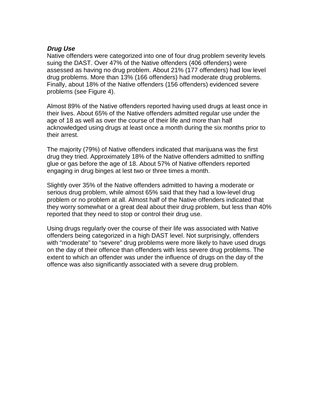#### **Drug Use**

Native offenders were categorized into one of four drug problem severity levels suing the DAST. Over 47% of the Native offenders (406 offenders) were assessed as having no drug problem. About 21% (177 offenders) had low level drug problems. More than 13% (166 offenders) had moderate drug problems. Finally, about 18% of the Native offenders (156 offenders) evidenced severe problems (see Figure 4).

Almost 89% of the Native offenders reported having used drugs at least once in their lives. About 65% of the Native offenders admitted regular use under the age of 18 as well as over the course of their life and more than half acknowledged using drugs at least once a month during the six months prior to their arrest.

The majority (79%) of Native offenders indicated that marijuana was the first drug they tried. Approximately 18% of the Native offenders admitted to sniffing glue or gas before the age of 18. About 57% of Native offenders reported engaging in drug binges at lest two or three times a month.

Slightly over 35% of the Native offenders admitted to having a moderate or serious drug problem, while almost 65% said that they had a low-level drug problem or no problem at all. Almost half of the Native offenders indicated that they worry somewhat or a great deal about their drug problem, but less than 40% reported that they need to stop or control their drug use.

Using drugs regularly over the course of their life was associated with Native offenders being categorized in a high DAST level. Not surprisingly, offenders with "moderate" to "severe" drug problems were more likely to have used drugs on the day of their offence than offenders with less severe drug problems. The extent to which an offender was under the influence of drugs on the day of the offence was also significantly associated with a severe drug problem.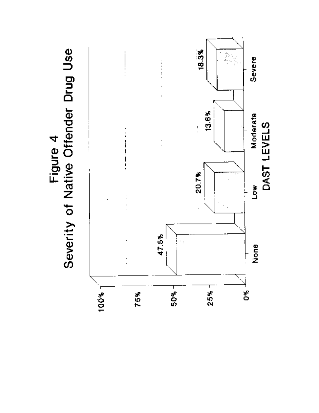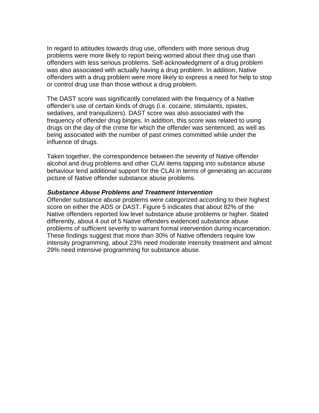In regard to attitudes towards drug use, offenders with more serious drug problems were more likely to report being worried about their drug use than offenders with less serious problems. Self-acknowledgment of a drug problem was also associated with actually having a drug problem. In addition, Native offenders with a drug problem were more likely to express a need for help to stop or control drug use than those without a drug problem.

The DAST score was significantly correlated with the frequency of a Native offender's use of certain kinds of drugs (i.e. cocaine, stimulants, opiates, sedatives, and tranquilizers). DAST score was also associated with the frequency of offender drug binges. In addition, this score was related to using drugs on the day of the crime for which the offender was sentenced, as well as being associated with the number of past crimes committed while under the influence of drugs.

Taken together, the correspondence between the severity of Native offender alcohol and drug problems and other CLAI items tapping into substance abuse behaviour lend additional support for the CLAI in terms of generating an accurate picture of Native offender substance abuse problems.

#### **Substance Abuse Problems and Treatment Intervention**

Offender substance abuse problems were categorized according to their highest score on either the ADS or DAST. Figure 5 indicates that about 82% of the Native offenders reported low level substance abuse problems or higher. Stated differently, about 4 out of 5 Native offenders evidenced substance abuse problems of sufficient severity to warrant formal intervention during incarceration. These findings suggest that more than 30% of Native offenders require low intensity programming, about 23% need moderate intensity treatment and almost 29% need intensive programming for substance abuse.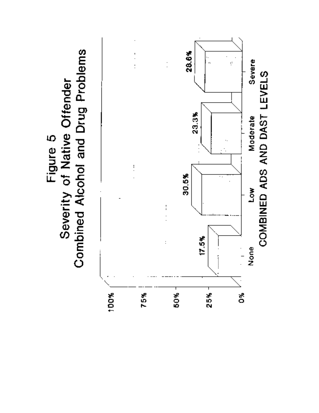Combined Alcohol and Drug Problems Severity of Native Offender Figure 5

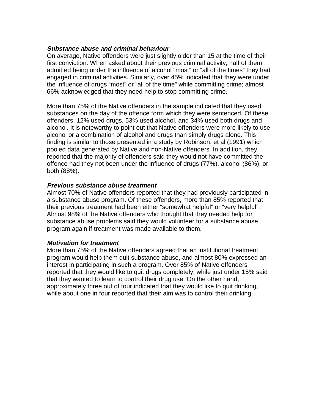#### **Substance abuse and criminal behaviour**

On average, Native offenders were just slightly older than 15 at the time of their first conviction. When asked about their previous criminal activity, half of them admitted being under the influence of alcohol "most" or "all of the times" they had engaged in criminal activities. Similarly, over 45% indicated that they were under the influence of drugs "most" or "all of the time" while committing crime; almost 66% acknowledged that they need help to stop committing crime.

More than 75% of the Native offenders in the sample indicated that they used substances on the day of the offence form which they were sentenced. Of these offenders, 12% used drugs, 53% used alcohol, and 34% used both drugs and alcohol. It is noteworthy to point out that Native offenders were more likely to use alcohol or a combination of alcohol and drugs than simply drugs alone. This finding is similar to those presented in a study by Robinson, et al (1991) which pooled data generated by Native and non-Native offenders. In addition, they reported that the majority of offenders said they would not have committed the offence had they not been under the influence of drugs (77%), alcohol (86%), or both (88%).

#### **Previous substance abuse treatment**

Almost 70% of Native offenders reported that they had previously participated in a substance abuse program. Of these offenders, more than 85% reported that their previous treatment had been either "somewhat helpful" or "very helpful". Almost 98% of the Native offenders who thought that they needed help for substance abuse problems said they would volunteer for a substance abuse program again if treatment was made available to them.

#### **Motivation for treatment**

More than 75% of the Native offenders agreed that an institutional treatment program would help them quit substance abuse, and almost 80% expressed an interest in participating in such a program. Over 85% of Native offenders reported that they would like to quit drugs completely, while just under 15% said that they wanted to learn to control their drug use. On the other hand, approximately three out of four indicated that they would like to quit drinking, while about one in four reported that their aim was to control their drinking.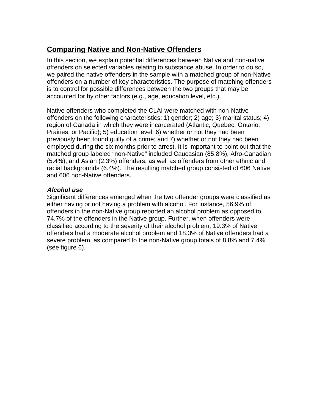## **Comparing Native and Non-Native Offenders**

In this section, we explain potential differences between Native and non-native offenders on selected variables relating to substance abuse. In order to do so, we paired the native offenders in the sample with a matched group of non-Native offenders on a number of key characteristics. The purpose of matching offenders is to control for possible differences between the two groups that may be accounted for by other factors (e.g., age, education level, etc.).

Native offenders who completed the CLAI were matched with non-Native offenders on the following characteristics: 1) gender; 2) age; 3) marital status; 4) region of Canada in which they were incarcerated (Atlantic, Quebec, Ontario, Prairies, or Pacific); 5) education level; 6) whether or not they had been previously been found guilty of a crime; and 7) whether or not they had been employed during the six months prior to arrest. It is important to point out that the matched group labeled "non-Native" included Caucasian (85.8%), Afro-Canadian (5.4%), and Asian (2.3%) offenders, as well as offenders from other ethnic and racial backgrounds (6.4%). The resulting matched group consisted of 606 Native and 606 non-Native offenders.

#### **Alcohol use**

Significant differences emerged when the two offender groups were classified as either having or not having a problem with alcohol. For instance, 56.9% of offenders in the non-Native group reported an alcohol problem as opposed to 74.7% of the offenders in the Native group. Further, when offenders were classified according to the severity of their alcohol problem, 19.3% of Native offenders had a moderate alcohol problem and 18.3% of Native offenders had a severe problem, as compared to the non-Native group totals of 8.8% and 7.4% (see figure 6).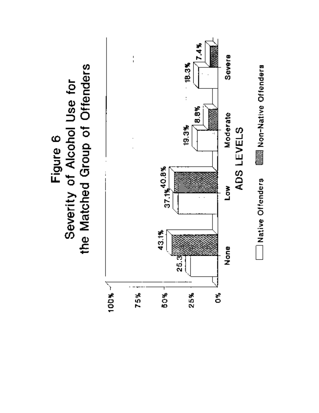

Figure 6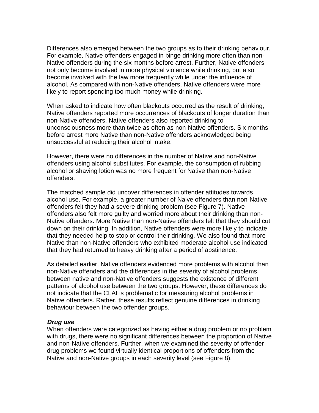Differences also emerged between the two groups as to their drinking behaviour. For example, Native offenders engaged in binge drinking more often than non-Native offenders during the six months before arrest. Further, Native offenders not only become involved in more physical violence while drinking, but also become involved with the law more frequently while under the influence of alcohol. As compared with non-Native offenders, Native offenders were more likely to report spending too much money while drinking.

When asked to indicate how often blackouts occurred as the result of drinking, Native offenders reported more occurrences of blackouts of longer duration than non-Native offenders. Native offenders also reported drinking to unconsciousness more than twice as often as non-Native offenders. Six months before arrest more Native than non-Native offenders acknowledged being unsuccessful at reducing their alcohol intake.

However, there were no differences in the number of Native and non-Native offenders using alcohol substitutes. For example, the consumption of rubbing alcohol or shaving lotion was no more frequent for Native than non-Native offenders.

The matched sample did uncover differences in offender attitudes towards alcohol use. For example, a greater number of Naive offenders than non-Native offenders felt they had a severe drinking problem (see Figure 7). Native offenders also felt more guilty and worried more about their drinking than non-Native offenders. More Native than non-Native offenders felt that they should cut down on their drinking. In addition, Native offenders were more likely to indicate that they needed help to stop or control their drinking. We also found that more Native than non-Native offenders who exhibited moderate alcohol use indicated that they had returned to heavy drinking after a period of abstinence.

As detailed earlier, Native offenders evidenced more problems with alcohol than non-Native offenders and the differences in the severity of alcohol problems between native and non-Native offenders suggests the existence of different patterns of alcohol use between the two groups. However, these differences do not indicate that the CLAI is problematic for measuring alcohol problems in Native offenders. Rather, these results reflect genuine differences in drinking behaviour between the two offender groups.

#### **Drug use**

When offenders were categorized as having either a drug problem or no problem with drugs, there were no significant differences between the proportion of Native and non-Native offenders. Further, when we examined the severity of offender drug problems we found virtually identical proportions of offenders from the Native and non-Native groups in each severity level (see Figure 8).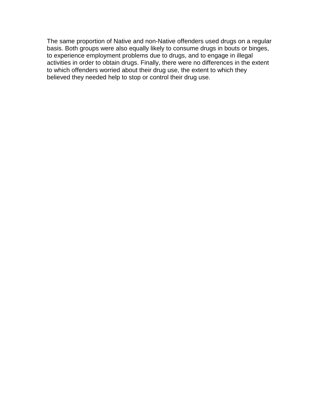The same proportion of Native and non-Native offenders used drugs on a regular basis. Both groups were also equally likely to consume drugs in bouts or binges, to experience employment problems due to drugs, and to engage in illegal activities in order to obtain drugs. Finally, there were no differences in the extent to which offenders worried about their drug use, the extent to which they believed they needed help to stop or control their drug use.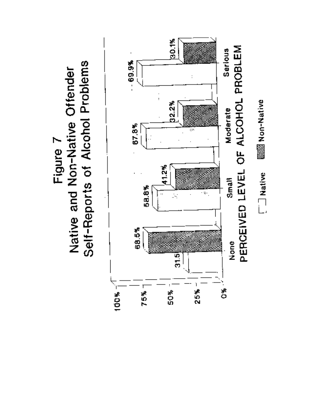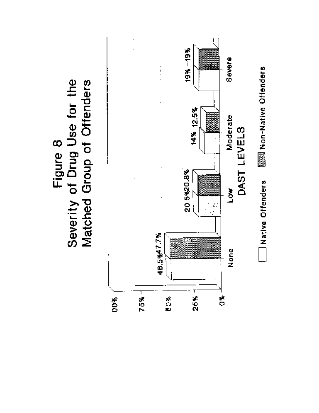

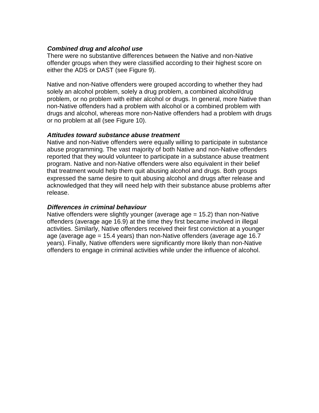#### **Combined drug and alcohol use**

There were no substantive differences between the Native and non-Native offender groups when they were classified according to their highest score on either the ADS or DAST (see Figure 9).

Native and non-Native offenders were grouped according to whether they had solely an alcohol problem, solely a drug problem, a combined alcohol/drug problem, or no problem with either alcohol or drugs. In general, more Native than non-Native offenders had a problem with alcohol or a combined problem with drugs and alcohol, whereas more non-Native offenders had a problem with drugs or no problem at all (see Figure 10).

#### **Attitudes toward substance abuse treatment**

Native and non-Native offenders were equally willing to participate in substance abuse programming. The vast majority of both Native and non-Native offenders reported that they would volunteer to participate in a substance abuse treatment program. Native and non-Native offenders were also equivalent in their belief that treatment would help them quit abusing alcohol and drugs. Both groups expressed the same desire to quit abusing alcohol and drugs after release and acknowledged that they will need help with their substance abuse problems after release.

#### **Differences in criminal behaviour**

Native offenders were slightly younger (average age = 15.2) than non-Native offenders (average age 16.9) at the time they first became involved in illegal activities. Similarly, Native offenders received their first conviction at a younger age (average age = 15.4 years) than non-Native offenders (average age 16.7 years). Finally, Native offenders were significantly more likely than non-Native offenders to engage in criminal activities while under the influence of alcohol.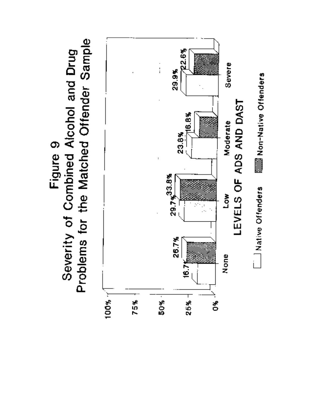Problems for the Matched Offender Sample Severity of Combined Alcohol and Drug Figure 9

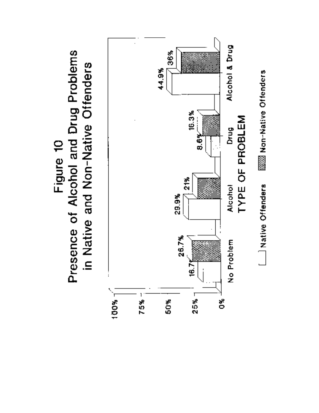Presence of Alcohol and Drug Problems in Native and Non-Native Offenders Figure 10

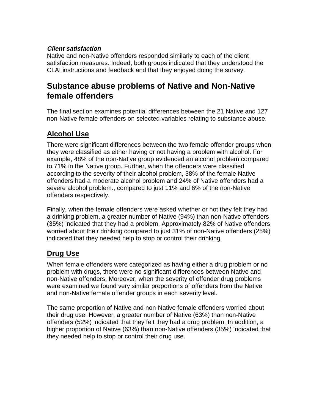#### **Client satisfaction**

Native and non-Native offenders responded similarly to each of the client satisfaction measures. Indeed, both groups indicated that they understood the CLAI instructions and feedback and that they enjoyed doing the survey.

## **Substance abuse problems of Native and Non-Native female offenders**

The final section examines potential differences between the 21 Native and 127 non-Native female offenders on selected variables relating to substance abuse.

## **Alcohol Use**

There were significant differences between the two female offender groups when they were classified as either having or not having a problem with alcohol. For example, 48% of the non-Native group evidenced an alcohol problem compared to 71% in the Native group. Further, when the offenders were classified according to the severity of their alcohol problem, 38% of the female Native offenders had a moderate alcohol problem and 24% of Native offenders had a severe alcohol problem., compared to just 11% and 6% of the non-Native offenders respectively.

Finally, when the female offenders were asked whether or not they felt they had a drinking problem, a greater number of Native (94%) than non-Native offenders (35%) indicated that they had a problem. Approximately 82% of Native offenders worried about their drinking compared to just 31% of non-Native offenders (25%) indicated that they needed help to stop or control their drinking.

### **Drug Use**

When female offenders were categorized as having either a drug problem or no problem with drugs, there were no significant differences between Native and non-Native offenders. Moreover, when the severity of offender drug problems were examined we found very similar proportions of offenders from the Native and non-Native female offender groups in each severity level.

The same proportion of Native and non-Native female offenders worried about their drug use. However, a greater number of Native (63%) than non-Native offenders (52%) indicated that they felt they had a drug problem. In addition, a higher proportion of Native (63%) than non-Native offenders (35%) indicated that they needed help to stop or control their drug use.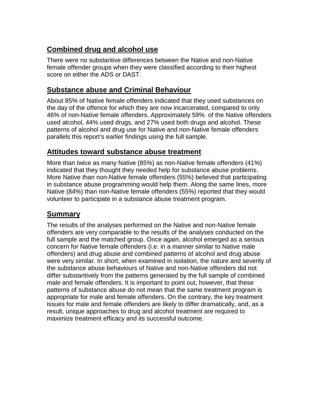## **Combined drug and alcohol use**

There were no substantive differences between the Native and non-Native female offender groups when they were classified according to their highest score on either the ADS or DAST.

### **Substance abuse and Criminal Behaviour**

About 85% of Native female offenders indicated that they used substances on the day of the offence for which they are now incarcerated, compared to only 46% of non-Native female offenders. Approximately 59% of the Native offenders used alcohol, 44% used drugs, and 27% used both drugs and alcohol. These patterns of alcohol and drug use for Native and non-Native female offenders parallels this report's earlier findings using the full sample.

### **Attitudes toward substance abuse treatment**

More than twice as many Native (85%) as non-Native female offenders (41%) indicated that they thought they needed help for substance abuse problems. More Native than non-Native female offenders (55%) believed that participating in substance abuse programming would help them. Along the same lines, more Native (84%) than non-Native female offenders (55%) reported that they would volunteer to participate in a substance abuse treatment program.

### **Summary**

The results of the analyses performed on the Native and non-Native female offenders are very comparable to the results of the analyses conducted on the full sample and the matched group. Once again, alcohol emerged as a serious concern for Native female offenders (i.e. in a manner similar to Native male offenders) and drug abuse and combined patterns of alcohol and drug abuse were very similar. In short, when examined in isolation, the nature and severity of the substance abuse behaviours of Native and non-Native offenders did not differ substantively from the patterns generated by the full sample of combined male and female offenders. It is important to point out, however, that these patterns of substance abuse do not mean that the same treatment program is appropriate for male and female offenders. On the contrary, the key treatment issues for male and female offenders are likely to differ dramatically, and, as a result, unique approaches to drug and alcohol treatment are required to maximize treatment efficacy and its successful outcome.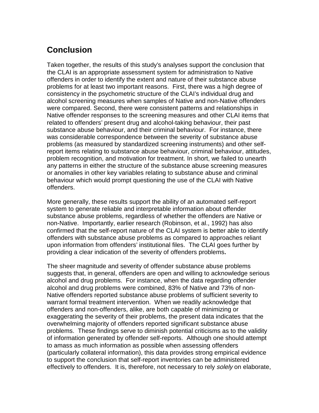## **Conclusion**

Taken together, the results of this study's analyses support the conclusion that the CLAI is an appropriate assessment system for administration to Native offenders in order to identify the extent and nature of their substance abuse problems for at least two important reasons. First, there was a high degree of consistency in the psychometric structure of the CLAI's individual drug and alcohol screening measures when samples of Native and non-Native offenders were compared. Second, there were consistent patterns and relationships in Native offender responses to the screening measures and other CLAI items that related to offenders' present drug and alcohol-taking behaviour, their past substance abuse behaviour, and their criminal behaviour. For instance, there was considerable correspondence between the severity of substance abuse problems (as measured by standardized screening instruments) and other selfreport items relating to substance abuse behaviour, criminal behaviour, attitudes, problem recognition, and motivation for treatment. In short, we failed to unearth any patterns in either the structure of the substance abuse screening measures or anomalies in other key variables relating to substance abuse and criminal behaviour which would prompt questioning the use of the CLAI with Native offenders.

More generally, these results support the ability of an automated self-report system to generate reliable and interpretable information about offender substance abuse problems, regardless of whether the offenders are Native or non-Native. Importantly, earlier research (Robinson, et al., 1992) has also confirmed that the self-report nature of the CLAI system is better able to identify offenders with substance abuse problems as compared to approaches reliant upon information from offenders' institutional files. The CLAI goes further by providing a clear indication of the severity of offenders problems**.**

The sheer magnitude and severity of offender substance abuse problems suggests that, in general, offenders are open and willing to acknowledge serious alcohol and drug problems. For instance, when the data regarding offender alcohol and drug problems were combined, 83% of Native and 73% of non-Native offenders reported substance abuse problems of sufficient severity to warrant formal treatment intervention. When we readily acknowledge that offenders and non-offenders, alike, are both capable of minimizing or exaggerating the severity of their problems, the present data indicates that the overwhelming majority of offenders reported significant substance abuse problems. These findings serve to diminish potential criticisms as to the validity of information generated by offender self-reports. Although one should attempt to amass as much information as possible when assessing offenders (particularly collateral information), this data provides strong empirical evidence to support the conclusion that self-report inventories can be administered effectively to offenders. It is, therefore, not necessary to rely solely on elaborate,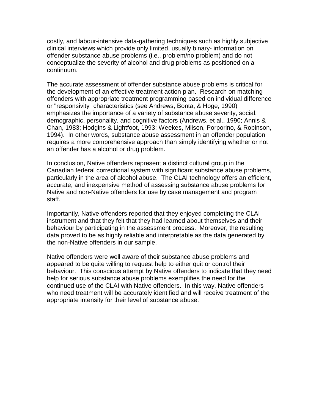costly, and labour-intensive data-gathering techniques such as highly subjective clinical interviews which provide only limited, usually binary- information on offender substance abuse problems (i.e., problem/no problem) and do not conceptualize the severity of alcohol and drug problems as positioned on a continuum.

The accurate assessment of offender substance abuse problems is critical for the development of an effective treatment action plan. Research on matching offenders with appropriate treatment programming based on individual difference or "responsivity" characteristics (see Andrews, Bonta, & Hoge, 1990) emphasizes the importance of a variety of substance abuse severity, social, demographic, personality, and cognitive factors (Andrews, et al., 1990; Annis & Chan, 1983; Hodgins & Lightfoot, 1993; Weekes, Mlison, Porporino, & Robinson, 1994). In other words, substance abuse assessment in an offender population requires a more comprehensive approach than simply identifying whether or not an offender has a alcohol or drug problem.

In conclusion, Native offenders represent a distinct cultural group in the Canadian federal correctional system with significant substance abuse problems, particularly in the area of alcohol abuse. The CLAI technology offers an efficient, accurate, and inexpensive method of assessing substance abuse problems for Native and non-Native offenders for use by case management and program staff.

Importantly, Native offenders reported that they enjoyed completing the CLAI instrument and that they felt that they had learned about themselves and their behaviour by participating in the assessment process. Moreover, the resulting data proved to be as highly reliable and interpretable as the data generated by the non-Native offenders in our sample.

Native offenders were well aware of their substance abuse problems and appeared to be quite willing to request help to either quit or control their behaviour. This conscious attempt by Native offenders to indicate that they need help for serious substance abuse problems exemplifies the need for the continued use of the CLAI with Native offenders. In this way, Native offenders who need treatment will be accurately identified and will receive treatment of the appropriate intensity for their level of substance abuse.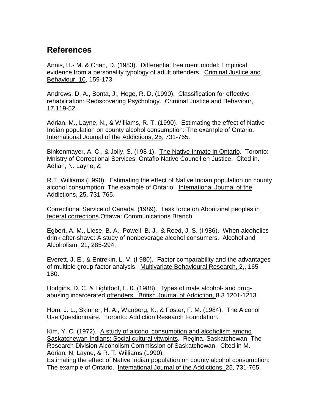## **References**

Annis, H.- M. & Chan, D. (1983). Differential treatment model: Empirical evidence from a personality typology of adult offenders. Criminal Justice and Behaviour, 10, 159-173.

Andrews, D. A., Bonta, J., Hoge, R. D. (1990). Classification for effective rehabilitation: Rediscovering Psychology. Criminal Justice and Behaviour,, 17,119-52.

Adrian, M., Layne, N., & Williams, R. T. (1990). Estimating the effect of Native Indian population on county alcohol consumption: The exarnple of Ontario. Intemational Joumal of the Addictions, 25, 731-765.

Binkenmayer, A. C., & Jolly, S. (I 98 1). The Native Inmate in Ontario. Toronto: Mnistry of Correctional Services, Ontafio Native Council en Justice. Cited in. Adfian, N. Layne, &

R.T. Williams (I 990). Estimating the effect of Native Indian population on county alcohol consumption: The example of Ontario. Intemational Joumal of the Addictions, 25, 731-765.

Correctional Service of Canada. (1989). Task force on Aboriizinal peoples in federal corrections.Ottawa: Communications Branch.

Egbert, A. M., Liese, B. A., Powell, B. J., & Reed, J. S. (I 986). When alcoholics drink after-shave: A study of nonbeverage alcohol consumers. Alcohol and Alcoholism, 21, 285-294.

Everett, J. E., & Entrekin, L. V. (I 980). Factor comparability and the advantages of multiple group factor analysis. Multivariate Behavioural Research, 2,, 165- 180.

Hodgins, D. C. & Lightfoot, L. 0. (1988). Types of male alcohol- and drugabusing incarcerated offenders. British Joumal of Addiction, 8.3 1201-1213

Hom, J. L., Skinner, H. A., Wanberg, K., & Foster, F. M. (1984). The Alcohol Use Questionnaire. Toronto: Addiction Research Foundation.

Kim, Y. C. (1972). A study of alcohol consumption and alcoholism among Saskatchewan Indians: Social cultural vitwoints. Regina, Saskatchewan: The Research Division Alcoholism Commission of Saskatchewan. Cited in M. Adrian, N. Layne, & R. T. Williams (1990).

Estimating the effect of Native Indian population on county alcohol consumption: The example of Ontario. Intemational Joumal of the Addictions, 25, 731-765.